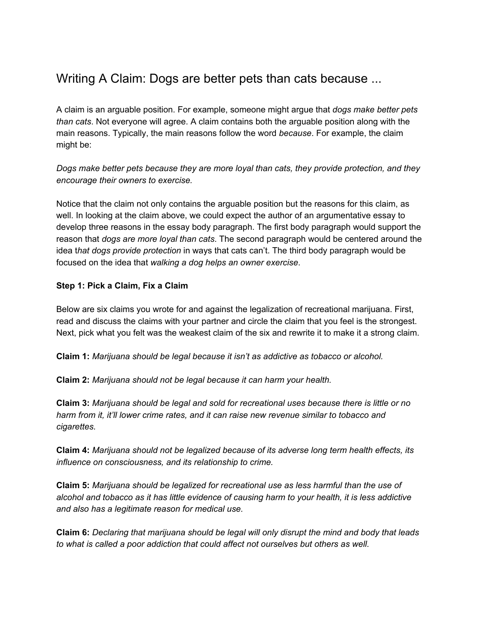# Writing A Claim: Dogs are better pets than cats because ...

A claim is an arguable position. For example, someone might argue that *dogs make better pets than cats*. Not everyone will agree. A claim contains both the arguable position along with the main reasons. Typically, the main reasons follow the word *because*. For example, the claim might be:

*Dogs make better pets because they are more loyal than cats, they provide protection, and they encourage their owners to exercise.*

Notice that the claim not only contains the arguable position but the reasons for this claim, as well. In looking at the claim above, we could expect the author of an argumentative essay to develop three reasons in the essay body paragraph. The first body paragraph would support the reason that *dogs are more loyal than cats*. The second paragraph would be centered around the idea t*hat dogs provide protection* in ways that cats can't. The third body paragraph would be focused on the idea that *walking a dog helps an owner exercise*.

### **Step 1: Pick a Claim, Fix a Claim**

Below are six claims you wrote for and against the legalization of recreational marijuana. First, read and discuss the claims with your partner and circle the claim that you feel is the strongest. Next, pick what you felt was the weakest claim of the six and rewrite it to make it a strong claim.

**Claim 1:***Marijuana should be legal because it isn't as addictive as tobacco or alcohol.*

**Claim 2:** *Marijuana should not be legal because it can harm your health.*

**Claim 3:***Marijuana should be legal and sold for recreational uses because there is little or no harm from it, it'll lower crime rates, and it can raise new revenue similar to tobacco and cigarettes.*

**Claim 4:** *Marijuana should not be legalized because of its adverse long term health effects, its influence on consciousness, and its relationship to crime.*

**Claim 5:***Marijuana should be legalized for recreational use as less harmful than the use of alcohol and tobacco as it has little evidence of causing harm to your health, it is less addictive and also has a legitimate reason for medical use.*

**Claim 6:***Declaring that marijuana should be legal will only disrupt the mind and body that leads to what is called a poor addiction that could affect not ourselves but others as well.*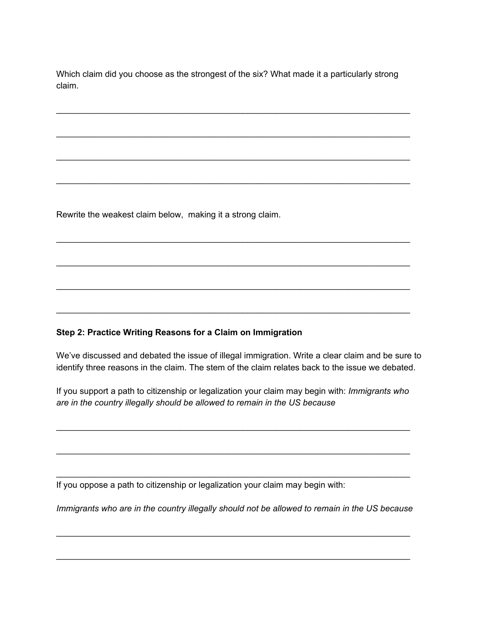Which claim did you choose as the strongest of the six? What made it a particularly strong claim.

\_\_\_\_\_\_\_\_\_\_\_\_\_\_\_\_\_\_\_\_\_\_\_\_\_\_\_\_\_\_\_\_\_\_\_\_\_\_\_\_\_\_\_\_\_\_\_\_\_\_\_\_\_\_\_\_\_\_\_\_\_\_\_\_\_\_\_\_\_\_\_\_\_\_

\_\_\_\_\_\_\_\_\_\_\_\_\_\_\_\_\_\_\_\_\_\_\_\_\_\_\_\_\_\_\_\_\_\_\_\_\_\_\_\_\_\_\_\_\_\_\_\_\_\_\_\_\_\_\_\_\_\_\_\_\_\_\_\_\_\_\_\_\_\_\_\_\_\_

\_\_\_\_\_\_\_\_\_\_\_\_\_\_\_\_\_\_\_\_\_\_\_\_\_\_\_\_\_\_\_\_\_\_\_\_\_\_\_\_\_\_\_\_\_\_\_\_\_\_\_\_\_\_\_\_\_\_\_\_\_\_\_\_\_\_\_\_\_\_\_\_\_\_

\_\_\_\_\_\_\_\_\_\_\_\_\_\_\_\_\_\_\_\_\_\_\_\_\_\_\_\_\_\_\_\_\_\_\_\_\_\_\_\_\_\_\_\_\_\_\_\_\_\_\_\_\_\_\_\_\_\_\_\_\_\_\_\_\_\_\_\_\_\_\_\_\_\_

\_\_\_\_\_\_\_\_\_\_\_\_\_\_\_\_\_\_\_\_\_\_\_\_\_\_\_\_\_\_\_\_\_\_\_\_\_\_\_\_\_\_\_\_\_\_\_\_\_\_\_\_\_\_\_\_\_\_\_\_\_\_\_\_\_\_\_\_\_\_\_\_\_\_

\_\_\_\_\_\_\_\_\_\_\_\_\_\_\_\_\_\_\_\_\_\_\_\_\_\_\_\_\_\_\_\_\_\_\_\_\_\_\_\_\_\_\_\_\_\_\_\_\_\_\_\_\_\_\_\_\_\_\_\_\_\_\_\_\_\_\_\_\_\_\_\_\_\_

\_\_\_\_\_\_\_\_\_\_\_\_\_\_\_\_\_\_\_\_\_\_\_\_\_\_\_\_\_\_\_\_\_\_\_\_\_\_\_\_\_\_\_\_\_\_\_\_\_\_\_\_\_\_\_\_\_\_\_\_\_\_\_\_\_\_\_\_\_\_\_\_\_\_

\_\_\_\_\_\_\_\_\_\_\_\_\_\_\_\_\_\_\_\_\_\_\_\_\_\_\_\_\_\_\_\_\_\_\_\_\_\_\_\_\_\_\_\_\_\_\_\_\_\_\_\_\_\_\_\_\_\_\_\_\_\_\_\_\_\_\_\_\_\_\_\_\_\_

Rewrite the weakest claim below, making it a strong claim.

## **Step 2: Practice Writing Reasons for a Claim on Immigration**

We've discussed and debated the issue of illegal immigration. Write a clear claim and be sure to identify three reasons in the claim. The stem of the claim relates back to the issue we debated.

If you support a path to citizenship or legalization your claim may begin with: *Immigrants who are in the country illegally should be allowed to remain in the US because*

\_\_\_\_\_\_\_\_\_\_\_\_\_\_\_\_\_\_\_\_\_\_\_\_\_\_\_\_\_\_\_\_\_\_\_\_\_\_\_\_\_\_\_\_\_\_\_\_\_\_\_\_\_\_\_\_\_\_\_\_\_\_\_\_\_\_\_\_\_\_\_\_\_\_

\_\_\_\_\_\_\_\_\_\_\_\_\_\_\_\_\_\_\_\_\_\_\_\_\_\_\_\_\_\_\_\_\_\_\_\_\_\_\_\_\_\_\_\_\_\_\_\_\_\_\_\_\_\_\_\_\_\_\_\_\_\_\_\_\_\_\_\_\_\_\_\_\_\_

\_\_\_\_\_\_\_\_\_\_\_\_\_\_\_\_\_\_\_\_\_\_\_\_\_\_\_\_\_\_\_\_\_\_\_\_\_\_\_\_\_\_\_\_\_\_\_\_\_\_\_\_\_\_\_\_\_\_\_\_\_\_\_\_\_\_\_\_\_\_\_\_\_\_

If you oppose a path to citizenship or legalization your claim may begin with:

*Immigrants who are in the country illegally should not be allowed to remain in the US because*

\_\_\_\_\_\_\_\_\_\_\_\_\_\_\_\_\_\_\_\_\_\_\_\_\_\_\_\_\_\_\_\_\_\_\_\_\_\_\_\_\_\_\_\_\_\_\_\_\_\_\_\_\_\_\_\_\_\_\_\_\_\_\_\_\_\_\_\_\_\_\_\_\_\_

\_\_\_\_\_\_\_\_\_\_\_\_\_\_\_\_\_\_\_\_\_\_\_\_\_\_\_\_\_\_\_\_\_\_\_\_\_\_\_\_\_\_\_\_\_\_\_\_\_\_\_\_\_\_\_\_\_\_\_\_\_\_\_\_\_\_\_\_\_\_\_\_\_\_